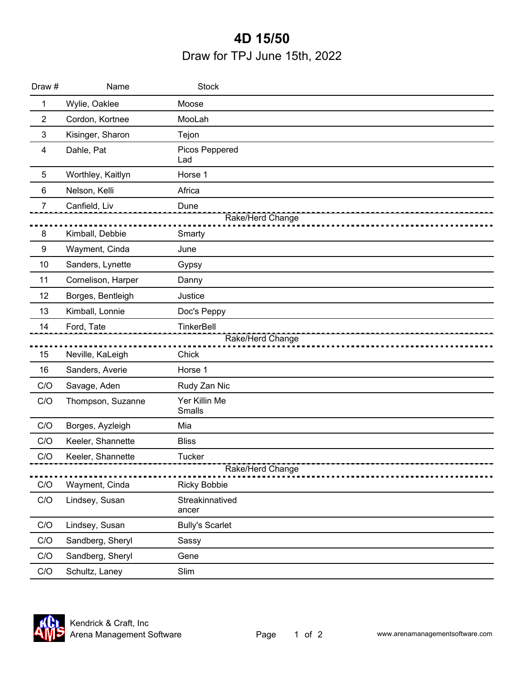## Printed on: 6/14/2022 **4D 15/50** Draw for TPJ June 15th, 2022

| Draw #         | Name               | <b>Stock</b>             |
|----------------|--------------------|--------------------------|
| $\mathbf 1$    | Wylie, Oaklee      | Moose                    |
| $\overline{c}$ | Cordon, Kortnee    | MooLah                   |
| 3              | Kisinger, Sharon   | Tejon                    |
| 4              | Dahle, Pat         | Picos Peppered<br>Lad    |
| $\overline{5}$ | Worthley, Kaitlyn  | Horse 1                  |
| $6\phantom{1}$ | Nelson, Kelli      | Africa                   |
| $\overline{7}$ | Canfield, Liv      | Dune                     |
|                |                    | Rake/Herd Change         |
| 8              | Kimball, Debbie    | Smarty                   |
| 9              | Wayment, Cinda     | June                     |
| 10             | Sanders, Lynette   | Gypsy                    |
| 11             | Cornelison, Harper | Danny                    |
| 12             | Borges, Bentleigh  | Justice                  |
| 13             | Kimball, Lonnie    | Doc's Peppy              |
| 14             | Ford, Tate         | TinkerBell               |
|                |                    | Rake/Herd Change         |
| 15             | Neville, KaLeigh   | Chick                    |
| 16             | Sanders, Averie    | Horse 1                  |
| C/O            | Savage, Aden       | Rudy Zan Nic             |
| C/O            | Thompson, Suzanne  | Yer Killin Me<br>Smalls  |
| C/O            | Borges, Ayzleigh   | Mia                      |
| C/O            | Keeler, Shannette  | <b>Bliss</b>             |
| C/O            | Keeler, Shannette  | <b>Tucker</b>            |
|                |                    | Rake/Herd Change         |
| C/O            | Wayment, Cinda     | <b>Ricky Bobbie</b>      |
| C/O            | Lindsey, Susan     | Streakinnatived<br>ancer |
| C/O            | Lindsey, Susan     | <b>Bully's Scarlet</b>   |
| C/O            | Sandberg, Sheryl   | Sassy                    |
| C/O            | Sandberg, Sheryl   | Gene                     |
| C/O            | Schultz, Laney     | Slim                     |